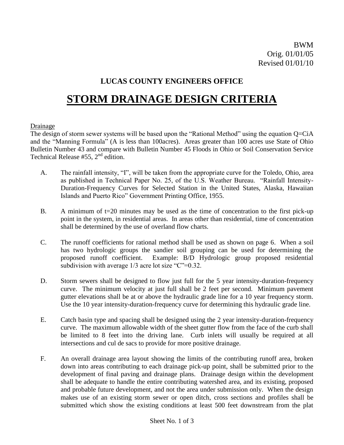## **LUCAS COUNTY ENGINEERS OFFICE**

# **STORM DRAINAGE DESIGN CRITERIA**

#### Drainage

The design of storm sewer systems will be based upon the "Rational Method" using the equation Q=CiA and the "Manning Formula" (A is less than 100acres). Areas greater than 100 acres use State of Ohio Bulletin Number 43 and compare with Bulletin Number 45 Floods in Ohio or Soil Conservation Service Technical Release  $#55$ ,  $2<sup>nd</sup>$  edition.

- A. The rainfall intensity, "I", will be taken from the appropriate curve for the Toledo, Ohio, area as published in Technical Paper No. 25, of the U.S. Weather Bureau. "Rainfall Intensity-Duration-Frequency Curves for Selected Station in the United States, Alaska, Hawaiian Islands and Puerto Rico" Government Printing Office, 1955.
- B. A minimum of  $t=20$  minutes may be used as the time of concentration to the first pick-up point in the system, in residential areas. In areas other than residential, time of concentration shall be determined by the use of overland flow charts.
- C. The runoff coefficients for rational method shall be used as shown on page 6. When a soil has two hydrologic groups the sandier soil grouping can be used for determining the proposed runoff coefficient. Example: B/D Hydrologic group proposed residential subdivision with average 1/3 acre lot size "C"=0.32.
- D. Storm sewers shall be designed to flow just full for the 5 year intensity-duration-frequency curve. The minimum velocity at just full shall be 2 feet per second. Minimum pavement gutter elevations shall be at or above the hydraulic grade line for a 10 year frequency storm. Use the 10 year intensity-duration-frequency curve for determining this hydraulic grade line.
- E. Catch basin type and spacing shall be designed using the 2 year intensity-duration-frequency curve. The maximum allowable width of the sheet gutter flow from the face of the curb shall be limited to 8 feet into the driving lane. Curb inlets will usually be required at all intersections and cul de sacs to provide for more positive drainage.
- F. An overall drainage area layout showing the limits of the contributing runoff area, broken down into areas contributing to each drainage pick-up point, shall be submitted prior to the development of final paving and drainage plans. Drainage design within the development shall be adequate to handle the entire contributing watershed area, and its existing, proposed and probable future development, and not the area under submission only. When the design makes use of an existing storm sewer or open ditch, cross sections and profiles shall be submitted which show the existing conditions at least 500 feet downstream from the plat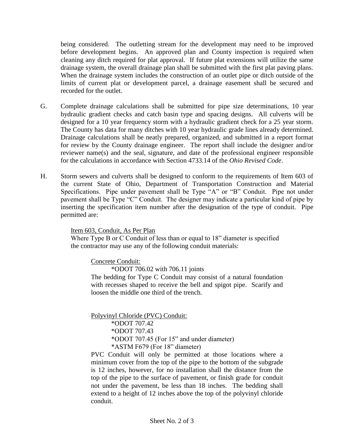being considered. The outletting stream for the development may need to be improved before development begins. An approved plan and County inspection is required when cleaning any ditch required for plat approval. If future plat extensions will utilize the same drainage system, the overall drainage plan shall be submitted with the first plat paving plans. When the drainage system includes the construction of an outlet pipe or ditch outside of the limits of current plat or development parcel, a drainage easement shall be secured and recorded for the outlet.

- G. Complete drainage calculations shall be submitted for pipe size determinations, 10 year hydraulic gradient checks and catch basin type and spacing designs. All culverts will be designed for a 10 year frequency storm with a hydraulic gradient check for a 25 year storm. The County has data for many ditches with 10 year hydraulic grade lines already determined. Drainage calculations shall be neatly prepared, organized, and submitted in a report format for review by the County drainage engineer. The report shall include the designer and/or reviewer name(s) and the seal, signature, and date of the professional engineer responsible for the calculations in accordance with Section 4733.14 of the *Ohio Revised Code*.
- H. Storm sewers and culverts shall be designed to conform to the requirements of Item 603 of the current State of Ohio, Department of Transportation Construction and Material Specifications. Pipe under pavement shall be Type "A" or "B" Conduit. Pipe not under pavement shall be Type "C" Conduit. The designer may indicate a particular kind of pipe by inserting the specification item number after the designation of the type of conduit. Pipe permitted are:

Item 603, Conduit, As Per Plan

Where Type B or C Conduit of less than or equal to 18" diameter is specified the contractor may use any of the following conduit materials:

Concrete Conduit:

\*ODOT 706.02 with 706.11 joints

The bedding for Type C Conduit may consist of a natural foundation with recesses shaped to receive the bell and spigot pipe. Scarify and loosen the middle one third of the trench.

Polyvinyl Chloride (PVC) Conduit:

\*ODOT 707.42 \*ODOT 707.43 \*ODOT 707.45 (For 15" and under diameter)

\*ASTM F679 (For 18" diameter)

PVC Conduit will only be permitted at those locations where a minimum cover from the top of the pipe to the bottom of the subgrade is 12 inches, however, for no installation shall the distance from the top of the pipe to the surface of pavement, or finish grade for conduit not under the pavement, be less than 18 inches. The bedding shall extend to a height of 12 inches above the top of the polyvinyl chloride conduit.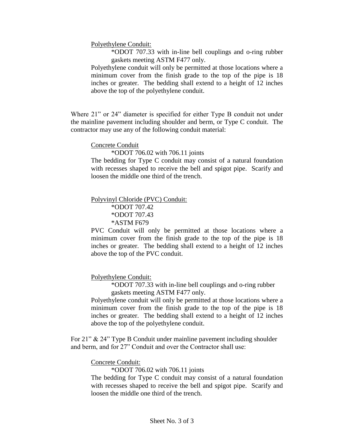Polyethylene Conduit:

\*ODOT 707.33 with in-line bell couplings and o-ring rubber gaskets meeting ASTM F477 only.

Polyethylene conduit will only be permitted at those locations where a minimum cover from the finish grade to the top of the pipe is 18 inches or greater. The bedding shall extend to a height of 12 inches above the top of the polyethylene conduit.

Where 21" or 24" diameter is specified for either Type B conduit not under the mainline pavement including shoulder and berm, or Type C conduit. The contractor may use any of the following conduit material:

Concrete Conduit

\*ODOT 706.02 with 706.11 joints

The bedding for Type C conduit may consist of a natural foundation with recesses shaped to receive the bell and spigot pipe. Scarify and loosen the middle one third of the trench.

Polyvinyl Chloride (PVC) Conduit:

\*ODOT 707.42 \*ODOT 707.43 \*ASTM F679

PVC Conduit will only be permitted at those locations where a minimum cover from the finish grade to the top of the pipe is 18 inches or greater. The bedding shall extend to a height of 12 inches above the top of the PVC conduit.

Polyethylene Conduit:

\*ODOT 707.33 with in-line bell couplings and o-ring rubber gaskets meeting ASTM F477 only.

Polyethylene conduit will only be permitted at those locations where a minimum cover from the finish grade to the top of the pipe is 18 inches or greater. The bedding shall extend to a height of 12 inches above the top of the polyethylene conduit.

For 21" & 24" Type B Conduit under mainline pavement including shoulder and berm, and for 27" Conduit and over the Contractor shall use:

Concrete Conduit:

\*ODOT 706.02 with 706.11 joints

The bedding for Type C conduit may consist of a natural foundation with recesses shaped to receive the bell and spigot pipe. Scarify and loosen the middle one third of the trench.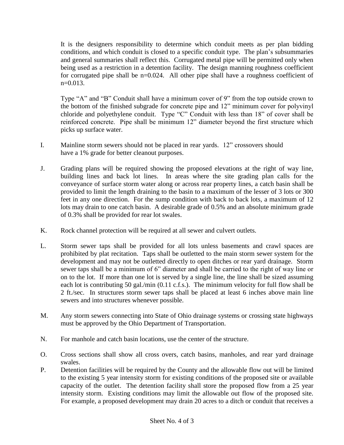It is the designers responsibility to determine which conduit meets as per plan bidding conditions, and which conduit is closed to a specific conduit type. The plan's subsummaries and general summaries shall reflect this. Corrugated metal pipe will be permitted only when being used as a restriction in a detention facility. The design manning roughness coefficient for corrugated pipe shall be n=0.024. All other pipe shall have a roughness coefficient of  $n=0.013$ .

Type "A" and "B" Conduit shall have a minimum cover of 9" from the top outside crown to the bottom of the finished subgrade for concrete pipe and 12" minimum cover for polyvinyl chloride and polyethylene conduit. Type "C" Conduit with less than 18" of cover shall be reinforced concrete. Pipe shall be minimum 12" diameter beyond the first structure which picks up surface water.

- I. Mainline storm sewers should not be placed in rear yards. 12" crossovers should have a 1% grade for better cleanout purposes.
- J. Grading plans will be required showing the proposed elevations at the right of way line, building lines and back lot lines. In areas where the site grading plan calls for the conveyance of surface storm water along or across rear property lines, a catch basin shall be provided to limit the length draining to the basin to a maximum of the lesser of 3 lots or 300 feet in any one direction. For the sump condition with back to back lots, a maximum of 12 lots may drain to one catch basin. A desirable grade of 0.5% and an absolute minimum grade of 0.3% shall be provided for rear lot swales.
- K. Rock channel protection will be required at all sewer and culvert outlets.
- L. Storm sewer taps shall be provided for all lots unless basements and crawl spaces are prohibited by plat recitation. Taps shall be outletted to the main storm sewer system for the development and may not be outletted directly to open ditches or rear yard drainage. Storm sewer taps shall be a minimum of 6" diameter and shall be carried to the right of way line or on to the lot. If more than one lot is served by a single line, the line shall be sized assuming each lot is contributing 50 gal./min (0.11 c.f.s.). The minimum velocity for full flow shall be 2 ft./sec. In structures storm sewer taps shall be placed at least 6 inches above main line sewers and into structures whenever possible.
- M. Any storm sewers connecting into State of Ohio drainage systems or crossing state highways must be approved by the Ohio Department of Transportation.
- N. For manhole and catch basin locations, use the center of the structure.
- O. Cross sections shall show all cross overs, catch basins, manholes, and rear yard drainage swales.
- P. Detention facilities will be required by the County and the allowable flow out will be limited to the existing 5 year intensity storm for existing conditions of the proposed site or available capacity of the outlet. The detention facility shall store the proposed flow from a 25 year intensity storm. Existing conditions may limit the allowable out flow of the proposed site. For example, a proposed development may drain 20 acres to a ditch or conduit that receives a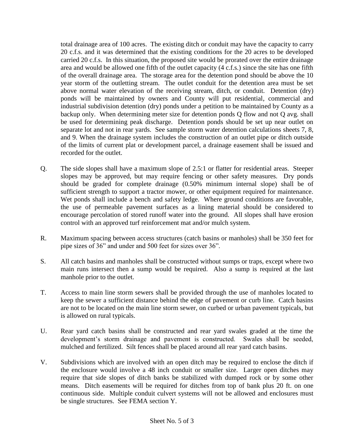total drainage area of 100 acres. The existing ditch or conduit may have the capacity to carry 20 c.f.s. and it was determined that the existing conditions for the 20 acres to be developed carried 20 c.f.s. In this situation, the proposed site would be prorated over the entire drainage area and would be allowed one fifth of the outlet capacity (4 c.f.s.) since the site has one fifth of the overall drainage area. The storage area for the detention pond should be above the 10 year storm of the outletting stream. The outlet conduit for the detention area must be set above normal water elevation of the receiving stream, ditch, or conduit. Detention (dry) ponds will be maintained by owners and County will put residential, commercial and industrial subdivision detention (dry) ponds under a petition to be maintained by County as a backup only. When determining meter size for detention ponds Q flow and not Q avg. shall be used for determining peak discharge. Detention ponds should be set up near outlet on separate lot and not in rear yards. See sample storm water detention calculations sheets 7, 8, and 9. When the drainage system includes the construction of an outlet pipe or ditch outside of the limits of current plat or development parcel, a drainage easement shall be issued and recorded for the outlet.

- Q. The side slopes shall have a maximum slope of 2.5:1 or flatter for residential areas. Steeper slopes may be approved, but may require fencing or other safety measures. Dry ponds should be graded for complete drainage (0.50% minimum internal slope) shall be of sufficient strength to support a tractor mower, or other equipment required for maintenance. Wet ponds shall include a bench and safety ledge. Where ground conditions are favorable, the use of permeable pavement surfaces as a lining material should be considered to encourage percolation of stored runoff water into the ground. All slopes shall have erosion control with an approved turf reinforcement mat and/or mulch system.
- R. Maximum spacing between access structures (catch basins or manholes) shall be 350 feet for pipe sizes of 36" and under and 500 feet for sizes over 36".
- S. All catch basins and manholes shall be constructed without sumps or traps, except where two main runs intersect then a sump would be required. Also a sump is required at the last manhole prior to the outlet.
- T. Access to main line storm sewers shall be provided through the use of manholes located to keep the sewer a sufficient distance behind the edge of pavement or curb line. Catch basins are not to be located on the main line storm sewer, on curbed or urban pavement typicals, but is allowed on rural typicals.
- U. Rear yard catch basins shall be constructed and rear yard swales graded at the time the development's storm drainage and pavement is constructed. Swales shall be seeded, mulched and fertilized. Silt fences shall be placed around all rear yard catch basins.
- V. Subdivisions which are involved with an open ditch may be required to enclose the ditch if the enclosure would involve a 48 inch conduit or smaller size. Larger open ditches may require that side slopes of ditch banks be stabilized with dumped rock or by some other means. Ditch easements will be required for ditches from top of bank plus 20 ft. on one continuous side. Multiple conduit culvert systems will not be allowed and enclosures must be single structures. See FEMA section Y.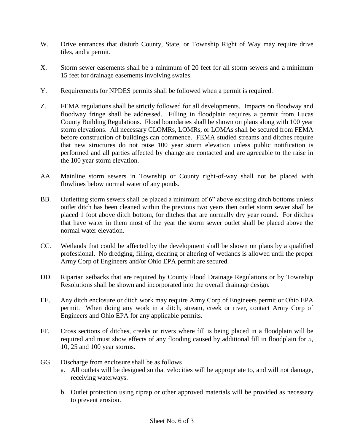- W. Drive entrances that disturb County, State, or Township Right of Way may require drive tiles, and a permit.
- X. Storm sewer easements shall be a minimum of 20 feet for all storm sewers and a minimum 15 feet for drainage easements involving swales.
- Y. Requirements for NPDES permits shall be followed when a permit is required.
- Z. FEMA regulations shall be strictly followed for all developments. Impacts on floodway and floodway fringe shall be addressed. Filling in floodplain requires a permit from Lucas County Building Regulations. Flood boundaries shall be shown on plans along with 100 year storm elevations. All necessary CLOMRs, LOMRs, or LOMAs shall be secured from FEMA before construction of buildings can commence. FEMA studied streams and ditches require that new structures do not raise 100 year storm elevation unless public notification is performed and all parties affected by change are contacted and are agreeable to the raise in the 100 year storm elevation.
- AA. Mainline storm sewers in Township or County right-of-way shall not be placed with flowlines below normal water of any ponds.
- BB. Outletting storm sewers shall be placed a minimum of 6" above existing ditch bottoms unless outlet ditch has been cleaned within the previous two years then outlet storm sewer shall be placed 1 foot above ditch bottom, for ditches that are normally dry year round. For ditches that have water in them most of the year the storm sewer outlet shall be placed above the normal water elevation.
- CC. Wetlands that could be affected by the development shall be shown on plans by a qualified professional. No dredging, filling, clearing or altering of wetlands is allowed until the proper Army Corp of Engineers and/or Ohio EPA permit are secured.
- DD. Riparian setbacks that are required by County Flood Drainage Regulations or by Township Resolutions shall be shown and incorporated into the overall drainage design.
- EE. Any ditch enclosure or ditch work may require Army Corp of Engineers permit or Ohio EPA permit. When doing any work in a ditch, stream, creek or river, contact Army Corp of Engineers and Ohio EPA for any applicable permits.
- FF. Cross sections of ditches, creeks or rivers where fill is being placed in a floodplain will be required and must show effects of any flooding caused by additional fill in floodplain for 5, 10, 25 and 100 year storms.
- GG. Discharge from enclosure shall be as follows
	- a. All outlets will be designed so that velocities will be appropriate to, and will not damage, receiving waterways.
	- b. Outlet protection using riprap or other approved materials will be provided as necessary to prevent erosion.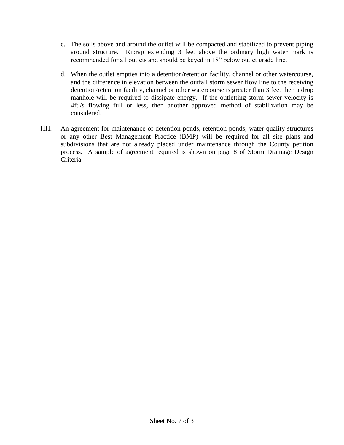- c. The soils above and around the outlet will be compacted and stabilized to prevent piping around structure. Riprap extending 3 feet above the ordinary high water mark is recommended for all outlets and should be keyed in 18" below outlet grade line.
- d. When the outlet empties into a detention/retention facility, channel or other watercourse, and the difference in elevation between the outfall storm sewer flow line to the receiving detention/retention facility, channel or other watercourse is greater than 3 feet then a drop manhole will be required to dissipate energy. If the outletting storm sewer velocity is 4ft./s flowing full or less, then another approved method of stabilization may be considered.
- HH. An agreement for maintenance of detention ponds, retention ponds, water quality structures or any other Best Management Practice (BMP) will be required for all site plans and subdivisions that are not already placed under maintenance through the County petition process. A sample of agreement required is shown on page 8 of Storm Drainage Design Criteria.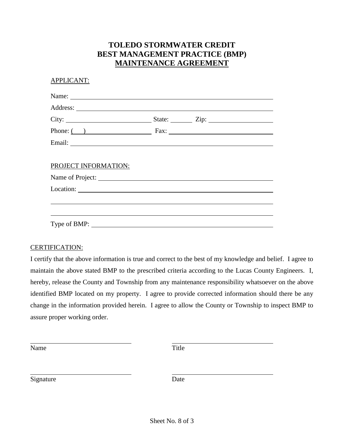### **TOLEDO STORMWATER CREDIT BEST MANAGEMENT PRACTICE (BMP) MAINTENANCE AGREEMENT**

| <b>APPLICANT:</b>    |  |
|----------------------|--|
|                      |  |
|                      |  |
|                      |  |
|                      |  |
|                      |  |
|                      |  |
| PROJECT INFORMATION: |  |
| Name of Project:     |  |
|                      |  |
|                      |  |
|                      |  |
| Type of BMP:         |  |

#### CERTIFICATION:

I certify that the above information is true and correct to the best of my knowledge and belief. I agree to maintain the above stated BMP to the prescribed criteria according to the Lucas County Engineers. I, hereby, release the County and Township from any maintenance responsibility whatsoever on the above identified BMP located on my property. I agree to provide corrected information should there be any change in the information provided herein. I agree to allow the County or Township to inspect BMP to assure proper working order.

Name Title

Signature Date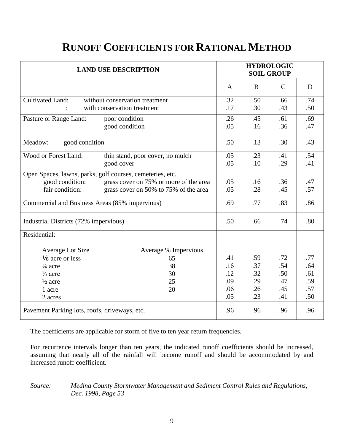## **RUNOFF COEFFICIENTS FOR RATIONAL METHOD**

| <b>LAND USE DESCRIPTION</b>                               | <b>HYDROLOGIC</b><br><b>SOIL GROUP</b> |     |              |     |
|-----------------------------------------------------------|----------------------------------------|-----|--------------|-----|
|                                                           | A                                      | B   | $\mathsf{C}$ | D   |
| <b>Cultivated Land:</b><br>without conservation treatment | .32                                    | .50 | .66          | .74 |
| with conservation treatment                               | .17                                    | .30 | .43          | .50 |
| Pasture or Range Land:<br>poor condition                  | .26                                    | .45 | .61          | .69 |
| good condition                                            | .05                                    | .16 | .36          | .47 |
| Meadow:<br>good condition                                 | .50                                    | .13 | .30          | .43 |
| Wood or Forest Land:<br>thin stand, poor cover, no mulch  | .05                                    | .23 | .41          | .54 |
| good cover                                                | .05                                    | .10 | .29          | .41 |
| Open Spaces, lawns, parks, golf courses, cemeteries, etc. |                                        |     |              |     |
| good condition:<br>grass cover on 75% or more of the area | .05                                    | .16 | .36          | .47 |
| fair condition:<br>grass cover on 50% to 75% of the area  | .05                                    | .28 | .45          | .57 |
| Commercial and Business Areas (85% impervious)            | .69                                    | .77 | .83          | .86 |
| Industrial Districts (72% impervious)                     | .50                                    | .66 | .74          | .80 |
| Residential:                                              |                                        |     |              |     |
| <b>Average % Impervious</b><br><b>Average Lot Size</b>    |                                        |     |              |     |
| 1/8 acre or less<br>65                                    | .41                                    | .59 | .72          | .77 |
| 38<br>$\frac{1}{4}$ acre                                  | .16                                    | .37 | .54          | .64 |
| 30<br>$\frac{1}{3}$ acre                                  | .12                                    | .32 | .50          | .61 |
| 25<br>$\frac{1}{2}$ acre                                  | .09                                    | .29 | .47          | .59 |
| 20<br>1 acre                                              | .06                                    | .26 | .45          | .57 |
| 2 acres                                                   | .05                                    | .23 | .41          | .50 |
| Pavement Parking lots, roofs, driveways, etc.             | .96                                    | .96 | .96          | .96 |

The coefficients are applicable for storm of five to ten year return frequencies.

For recurrence intervals longer than ten years, the indicated runoff coefficients should be increased, assuming that nearly all of the rainfall will become runoff and should be accommodated by and increased runoff coefficient.

*Source: Medina County Stormwater Management and Sediment Control Rules and Regulations, Dec. 1998, Page 53*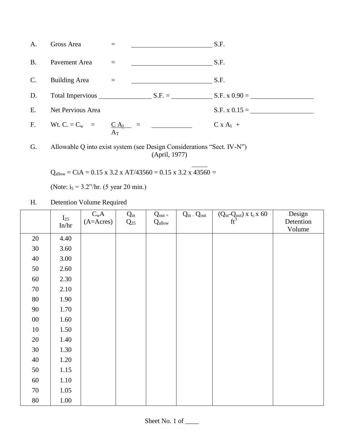| A.             | Gross Area                |                          |                        | S.F.            |
|----------------|---------------------------|--------------------------|------------------------|-----------------|
| <b>B.</b>      | Pavement Area             |                          |                        | S.F.            |
| $C$ .          | <b>Building Area</b>      |                          |                        | S.F.            |
| D.             | Total Impervious $S.F. =$ |                          |                        | $S.F. x 0.90 =$ |
| Ε.             | Net Pervious Area         |                          |                        | $S.F. x 0.15 =$ |
| F <sub>r</sub> | Wt. C. = $C_w$ =          | CA <sub>I</sub><br>$A_T$ | <u>a matematika ka</u> | $C x A_I +$     |

G. Allowable Q into exist system (see Design Considerations "Sect. IV-N") (April, 1977)

 $Q_{\text{allow}} = \text{Ci}A = 0.15 \times 3.2 \times AT/43560 = 0.15 \times 3.2 \times 43560 =$ 

(Note:  $i_5 = 3.2$ "/hr. (5 year 20 min.)

### H. Detention Volume Required

|        | $I_{25}$<br>In/hr | $C_wA$<br>$(A=ACres)$ | $Q_{in}$<br>$Q_{25}$ | $Q_{out} =$<br>$Q_{\text{allow}}$ | $Q_{in}$ – $Q_{out}$ | $(Q_{in} - Q_{out}) \times t_c \times 60$ | Design<br>Detention |
|--------|-------------------|-----------------------|----------------------|-----------------------------------|----------------------|-------------------------------------------|---------------------|
|        |                   |                       |                      |                                   |                      |                                           | Volume              |
| 20     | 4.40              |                       |                      |                                   |                      |                                           |                     |
| $30\,$ | 3.60              |                       |                      |                                   |                      |                                           |                     |
| 40     | 3.00              |                       |                      |                                   |                      |                                           |                     |
| 50     | 2.60              |                       |                      |                                   |                      |                                           |                     |
| 60     | 2.30              |                       |                      |                                   |                      |                                           |                     |
| $70\,$ | 2.10              |                       |                      |                                   |                      |                                           |                     |
| $80\,$ | 1.90              |                       |                      |                                   |                      |                                           |                     |
| $90\,$ | 1.70              |                       |                      |                                   |                      |                                           |                     |
| $00\,$ | 1.60              |                       |                      |                                   |                      |                                           |                     |
| $10\,$ | 1.50              |                       |                      |                                   |                      |                                           |                     |
| $20\,$ | 1.40              |                       |                      |                                   |                      |                                           |                     |
| $30\,$ | 1.30              |                       |                      |                                   |                      |                                           |                     |
| $40\,$ | 1.20              |                       |                      |                                   |                      |                                           |                     |
| 50     | 1.15              |                       |                      |                                   |                      |                                           |                     |
| 60     | 1.10              |                       |                      |                                   |                      |                                           |                     |
| $70\,$ | 1.05              |                       |                      |                                   |                      |                                           |                     |
| $80\,$ | 1.00              |                       |                      |                                   |                      |                                           |                     |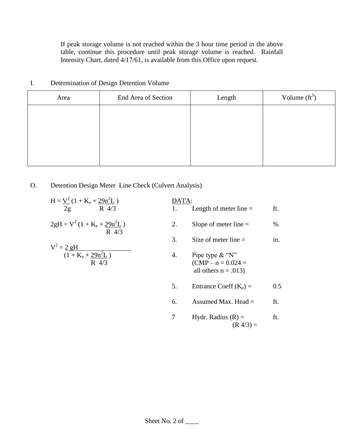If peak storage volume is not reached within the 3 hour time period in the above table, continue this procedure until peak storage volume is reached. Rainfall Intensity Chart, dated 4/17/61, is available from this Office upon request.

| Area | End Area of Section | Length | Volume $(tf3)$ |
|------|---------------------|--------|----------------|
|      |                     |        |                |
|      |                     |        |                |
|      |                     |        |                |
|      |                     |        |                |
|      |                     |        |                |

#### I. Determination of Design Detention Volume

### O. Detention Design Meter Line Check (Culvert Analysis)

| $H = V^2 (1 + K_e + 29n^2L)$<br>2g<br>R 4/3       | DATA: | Length of meter line $=$                                             | ft.  |
|---------------------------------------------------|-------|----------------------------------------------------------------------|------|
| $2gH = V^2 (1 + K_e + 29n^2L)$<br>$R \frac{4}{3}$ | 2.    | Slope of meter line $=$                                              | $\%$ |
| $V^2 = 2 gH$                                      | 3.    | Size of meter line $=$                                               | in.  |
| $(1 + K_e + 29n^2L)$<br>$R \frac{4}{3}$           | 4.    | Pipe type $\&$ "N"<br>$(CMP - n = 0.024)$<br>all others $n = .013$ ) |      |
|                                                   | 5.    | Entrance Coeff $(K_e)$ =                                             | 0.5  |
|                                                   | 6.    | Assumed Max. Head $=$                                                | ft.  |
|                                                   |       | Hydr. Radius $(R)$ =                                                 | ft.  |

 $(R \frac{4}{3}) =$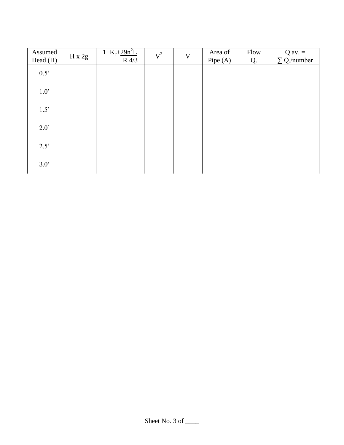| Assumed<br>Head (H) | $H \times 2g$ | $1 + K_e + 29n^2L$<br>$R$ 4/3 | $V^2$ | $\ensuremath{\mathbf{V}}$ | Area of<br>Pipe (A) | Flow<br>Q. | $Q$ av. $=$<br>$\Sigma$ Q./number |
|---------------------|---------------|-------------------------------|-------|---------------------------|---------------------|------------|-----------------------------------|
| 0.5                 |               |                               |       |                           |                     |            |                                   |
| $1.0$ '             |               |                               |       |                           |                     |            |                                   |
| 1.5                 |               |                               |       |                           |                     |            |                                   |
| $2.0^{\circ}$       |               |                               |       |                           |                     |            |                                   |
| 2.5'                |               |                               |       |                           |                     |            |                                   |
| 3.0'                |               |                               |       |                           |                     |            |                                   |